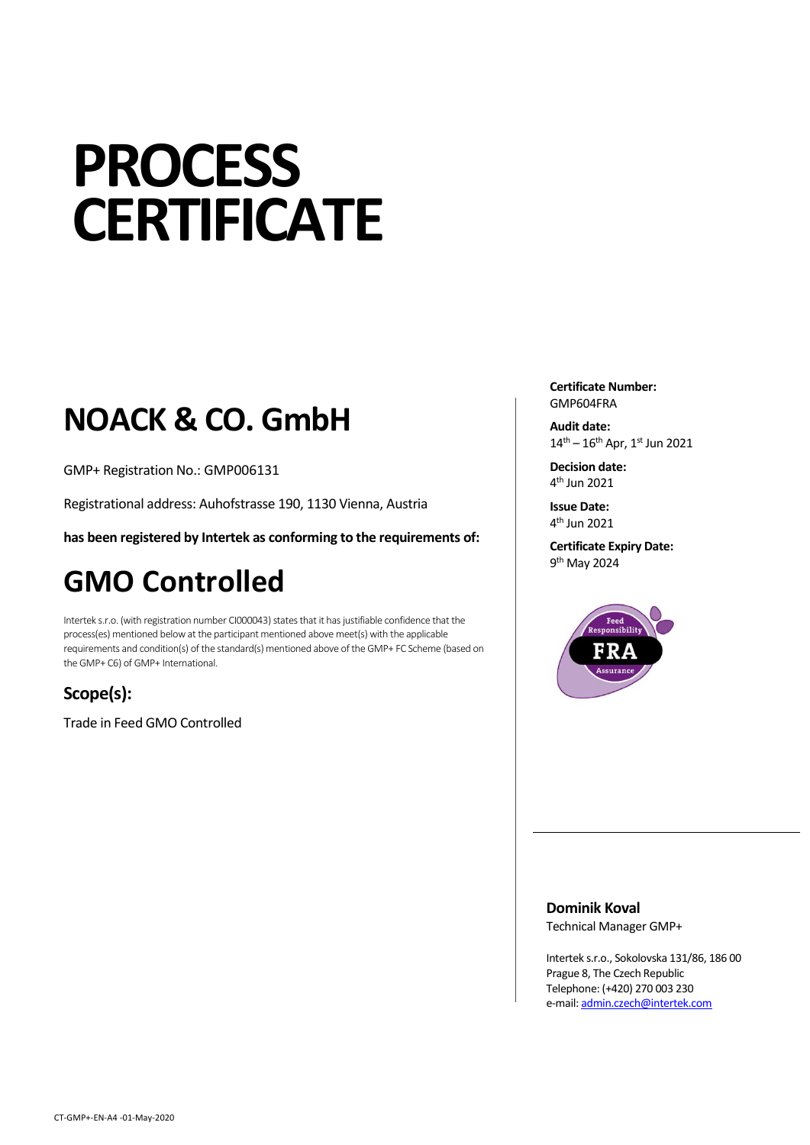# **PROCESS CERTIFICATE**

## **NOACK & CO. GmbH**

GMP+ Registration No.: GMP006131

Registrational address: Auhofstrasse 190, 1130 Vienna, Austria

**has been registered by Intertek as conforming to the requirements of:**

### **GMO Controlled**

Intertek s.r.o. (with registration number CI000043) states that it has justifiable confidence that the process(es) mentioned below at the participant mentioned above meet(s) with the applicable requirements and condition(s) of the standard(s) mentioned above of the GMP+ FC Scheme (based on the GMP+ C6) of GMP+ International.

#### **Scope(s):**

Trade in Feed GMO Controlled

**Certificate Number:** GMP604FRA

**Audit date:**  $14^{\text{th}} - 16^{\text{th}}$  Apr,  $1^{\text{st}}$  Jun 2021

**Decision date:** 4 th Jun 2021

**Issue Date:** 4 th Jun 2021

**Certificate Expiry Date:** 9<sup>th</sup> May 2024



#### **Dominik Koval** Technical Manager GMP+

Intertek s.r.o., Sokolovska 131/86, 186 00 Prague 8, The Czech Republic Telephone: (+420) 270 003 230 e-mail[: admin.czech@intertek.com](mailto:admin.czech@intertek.com)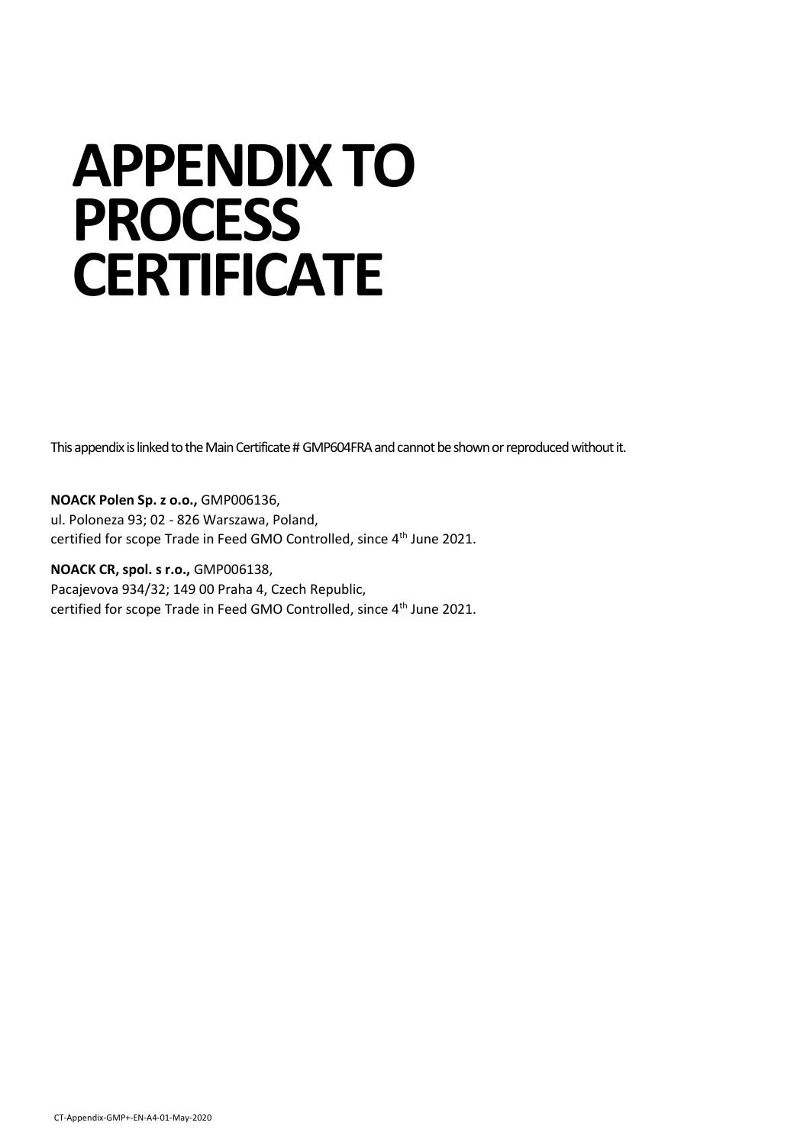## **APPENDIX TO PROCESS CERTIFICATE**

This appendix is linked to the Main Certificate # GMP604FRA and cannot be shown or reproduced without it.

**NOACK Polen Sp. z o.o.,** GMP006136, ul. Poloneza 93; 02 - 826 Warszawa, Poland, certified for scope Trade in Feed GMO Controlled, since 4<sup>th</sup> June 2021.

**NOACK CR, spol. s r.o.,** GMP006138, Pacajevova 934/32; 149 00 Praha 4, Czech Republic, certified for scope Trade in Feed GMO Controlled, since 4<sup>th</sup> June 2021.